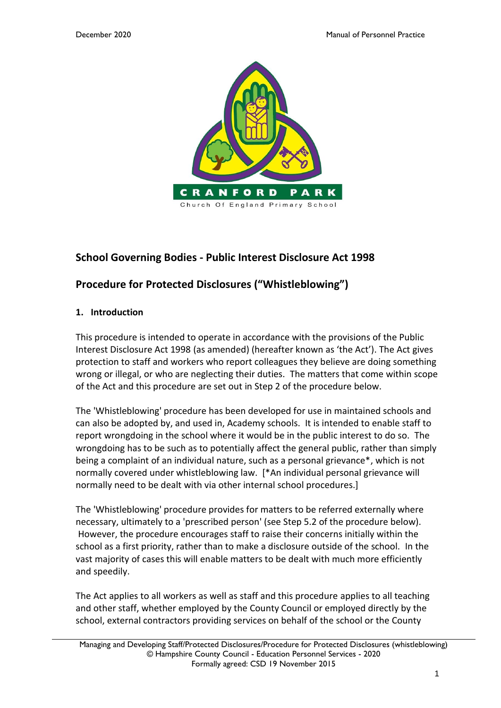

# **School Governing Bodies - Public Interest Disclosure Act 1998**

# **Procedure for Protected Disclosures ("Whistleblowing")**

### **1. Introduction**

This procedure is intended to operate in accordance with the provisions of the Public Interest Disclosure Act 1998 (as amended) (hereafter known as 'the Act'). The Act gives protection to staff and workers who report colleagues they believe are doing something wrong or illegal, or who are neglecting their duties. The matters that come within scope of the Act and this procedure are set out in Step 2 of the procedure below.

The 'Whistleblowing' procedure has been developed for use in maintained schools and can also be adopted by, and used in, Academy schools. It is intended to enable staff to report wrongdoing in the school where it would be in the public interest to do so. The wrongdoing has to be such as to potentially affect the general public, rather than simply being a complaint of an individual nature, such as a personal grievance\*, which is not normally covered under whistleblowing law. [\*An individual personal grievance will normally need to be dealt with via other internal school procedures.]

The 'Whistleblowing' procedure provides for matters to be referred externally where necessary, ultimately to a 'prescribed person' (see Step 5.2 of the procedure below). However, the procedure encourages staff to raise their concerns initially within the school as a first priority, rather than to make a disclosure outside of the school. In the vast majority of cases this will enable matters to be dealt with much more efficiently and speedily.

The Act applies to all workers as well as staff and this procedure applies to all teaching and other staff, whether employed by the County Council or employed directly by the school, external contractors providing services on behalf of the school or the County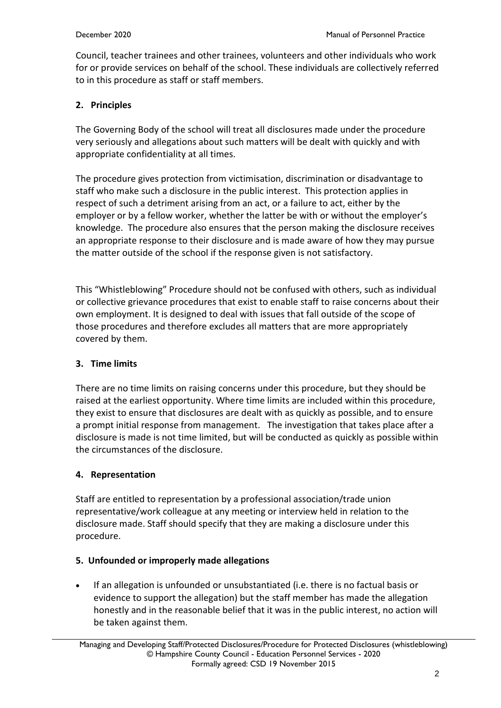Council, teacher trainees and other trainees, volunteers and other individuals who work for or provide services on behalf of the school. These individuals are collectively referred to in this procedure as staff or staff members.

# **2. Principles**

The Governing Body of the school will treat all disclosures made under the procedure very seriously and allegations about such matters will be dealt with quickly and with appropriate confidentiality at all times.

The procedure gives protection from victimisation, discrimination or disadvantage to staff who make such a disclosure in the public interest. This protection applies in respect of such a detriment arising from an act, or a failure to act, either by the employer or by a fellow worker, whether the latter be with or without the employer's knowledge. The procedure also ensures that the person making the disclosure receives an appropriate response to their disclosure and is made aware of how they may pursue the matter outside of the school if the response given is not satisfactory.

This "Whistleblowing" Procedure should not be confused with others, such as individual or collective grievance procedures that exist to enable staff to raise concerns about their own employment. It is designed to deal with issues that fall outside of the scope of those procedures and therefore excludes all matters that are more appropriately covered by them.

# **3. Time limits**

There are no time limits on raising concerns under this procedure, but they should be raised at the earliest opportunity. Where time limits are included within this procedure, they exist to ensure that disclosures are dealt with as quickly as possible, and to ensure a prompt initial response from management. The investigation that takes place after a disclosure is made is not time limited, but will be conducted as quickly as possible within the circumstances of the disclosure.

# **4. Representation**

Staff are entitled to representation by a professional association/trade union representative/work colleague at any meeting or interview held in relation to the disclosure made. Staff should specify that they are making a disclosure under this procedure.

# **5. Unfounded or improperly made allegations**

• If an allegation is unfounded or unsubstantiated (i.e. there is no factual basis or evidence to support the allegation) but the staff member has made the allegation honestly and in the reasonable belief that it was in the public interest, no action will be taken against them.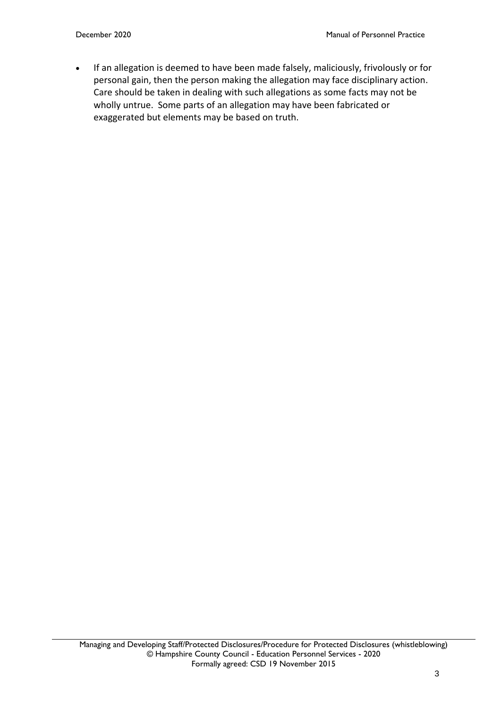• If an allegation is deemed to have been made falsely, maliciously, frivolously or for personal gain, then the person making the allegation may face disciplinary action. Care should be taken in dealing with such allegations as some facts may not be wholly untrue. Some parts of an allegation may have been fabricated or exaggerated but elements may be based on truth.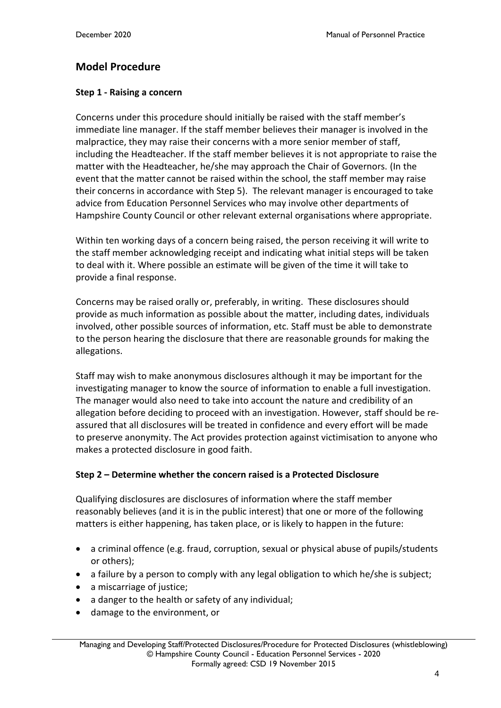# **Model Procedure**

### **Step 1 - Raising a concern**

Concerns under this procedure should initially be raised with the staff member's immediate line manager. If the staff member believes their manager is involved in the malpractice, they may raise their concerns with a more senior member of staff, including the Headteacher. If the staff member believes it is not appropriate to raise the matter with the Headteacher, he/she may approach the Chair of Governors. (In the event that the matter cannot be raised within the school, the staff member may raise their concerns in accordance with Step 5). The relevant manager is encouraged to take advice from Education Personnel Services who may involve other departments of Hampshire County Council or other relevant external organisations where appropriate.

Within ten working days of a concern being raised, the person receiving it will write to the staff member acknowledging receipt and indicating what initial steps will be taken to deal with it. Where possible an estimate will be given of the time it will take to provide a final response.

Concerns may be raised orally or, preferably, in writing. These disclosures should provide as much information as possible about the matter, including dates, individuals involved, other possible sources of information, etc. Staff must be able to demonstrate to the person hearing the disclosure that there are reasonable grounds for making the allegations.

Staff may wish to make anonymous disclosures although it may be important for the investigating manager to know the source of information to enable a full investigation. The manager would also need to take into account the nature and credibility of an allegation before deciding to proceed with an investigation. However, staff should be reassured that all disclosures will be treated in confidence and every effort will be made to preserve anonymity. The Act provides protection against victimisation to anyone who makes a protected disclosure in good faith.

### **Step 2 – Determine whether the concern raised is a Protected Disclosure**

Qualifying disclosures are disclosures of information where the staff member reasonably believes (and it is in the public interest) that one or more of the following matters is either happening, has taken place, or is likely to happen in the future:

- a criminal offence (e.g. fraud, corruption, sexual or physical abuse of pupils/students or others);
- a failure by a person to comply with any legal obligation to which he/she is subject;
- a miscarriage of justice;
- a danger to the health or safety of any individual;
- damage to the environment, or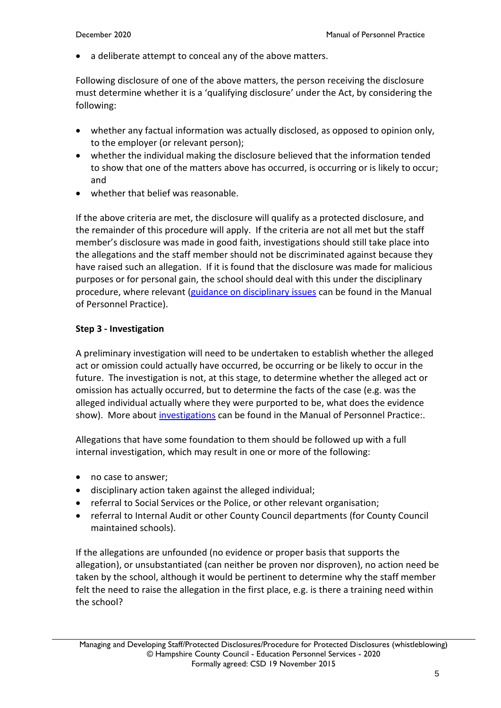a deliberate attempt to conceal any of the above matters.

Following disclosure of one of the above matters, the person receiving the disclosure must determine whether it is a 'qualifying disclosure' under the Act, by considering the following:

- whether any factual information was actually disclosed, as opposed to opinion only, to the employer (or relevant person);
- whether the individual making the disclosure believed that the information tended to show that one of the matters above has occurred, is occurring or is likely to occur; and
- whether that belief was reasonable.

If the above criteria are met, the disclosure will qualify as a protected disclosure, and the remainder of this procedure will apply. If the criteria are not all met but the staff member's disclosure was made in good faith, investigations should still take place into the allegations and the staff member should not be discriminated against because they have raised such an allegation. If it is found that the disclosure was made for malicious purposes or for personal gain, the school should deal with this under the disciplinary procedure, where relevant [\(guidance on disciplinary issues](https://www.hants.gov.uk/educationandlearning/education-personnel-services/manual/managing-staff/discipline) can be found in the Manual of Personnel Practice).

#### **Step 3 - Investigation**

A preliminary investigation will need to be undertaken to establish whether the alleged act or omission could actually have occurred, be occurring or be likely to occur in the future. The investigation is not, at this stage, to determine whether the alleged act or omission has actually occurred, but to determine the facts of the case (e.g. was the alleged individual actually where they were purported to be, what does the evidence show). More about [investigations](https://www.hants.gov.uk/educationandlearning/education-personnel-services/manual/managing-staff/conducting-investigation) can be found in the Manual of Personnel Practice:.

Allegations that have some foundation to them should be followed up with a full internal investigation, which may result in one or more of the following:

- no case to answer;
- disciplinary action taken against the alleged individual;
- referral to Social Services or the Police, or other relevant organisation;
- referral to Internal Audit or other County Council departments (for County Council maintained schools).

If the allegations are unfounded (no evidence or proper basis that supports the allegation), or unsubstantiated (can neither be proven nor disproven), no action need be taken by the school, although it would be pertinent to determine why the staff member felt the need to raise the allegation in the first place, e.g. is there a training need within the school?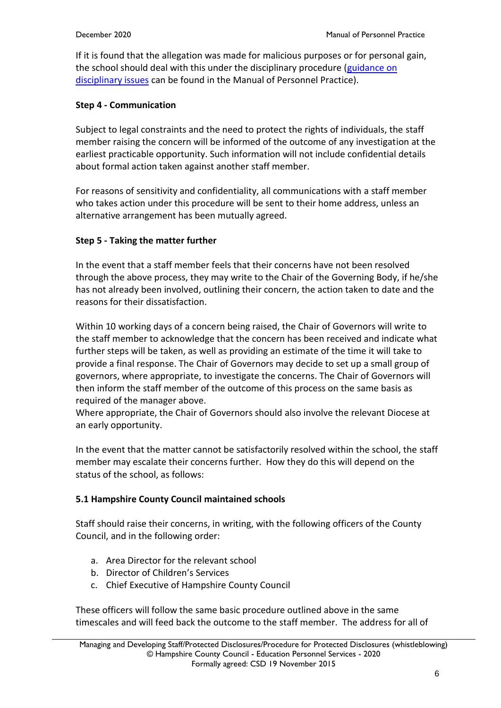If it is found that the allegation was made for malicious purposes or for personal gain, the school should deal with this under the disciplinary procedure [\(guidance on](https://www.hants.gov.uk/educationandlearning/education-personnel-services/manual/managing-staff/discipline)  [disciplinary issues](https://www.hants.gov.uk/educationandlearning/education-personnel-services/manual/managing-staff/discipline) can be found in the Manual of Personnel Practice).

## **Step 4 - Communication**

Subject to legal constraints and the need to protect the rights of individuals, the staff member raising the concern will be informed of the outcome of any investigation at the earliest practicable opportunity. Such information will not include confidential details about formal action taken against another staff member.

For reasons of sensitivity and confidentiality, all communications with a staff member who takes action under this procedure will be sent to their home address, unless an alternative arrangement has been mutually agreed.

## **Step 5 - Taking the matter further**

In the event that a staff member feels that their concerns have not been resolved through the above process, they may write to the Chair of the Governing Body, if he/she has not already been involved, outlining their concern, the action taken to date and the reasons for their dissatisfaction.

Within 10 working days of a concern being raised, the Chair of Governors will write to the staff member to acknowledge that the concern has been received and indicate what further steps will be taken, as well as providing an estimate of the time it will take to provide a final response. The Chair of Governors may decide to set up a small group of governors, where appropriate, to investigate the concerns. The Chair of Governors will then inform the staff member of the outcome of this process on the same basis as required of the manager above.

Where appropriate, the Chair of Governors should also involve the relevant Diocese at an early opportunity.

In the event that the matter cannot be satisfactorily resolved within the school, the staff member may escalate their concerns further. How they do this will depend on the status of the school, as follows:

# **5.1 Hampshire County Council maintained schools**

Staff should raise their concerns, in writing, with the following officers of the County Council, and in the following order:

- a. Area Director for the relevant school
- b. Director of Children's Services
- c. Chief Executive of Hampshire County Council

These officers will follow the same basic procedure outlined above in the same timescales and will feed back the outcome to the staff member. The address for all of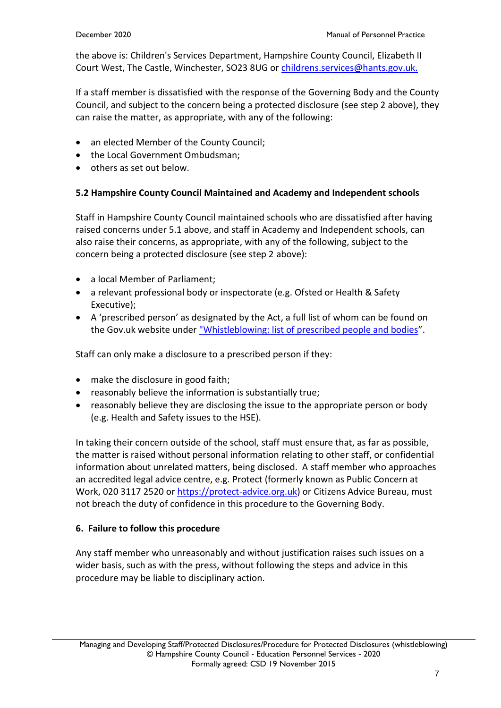the above is: Children's Services Department, Hampshire County Council, Elizabeth II Court West, The Castle, Winchester, SO23 8UG or [childrens.services@hants.gov.uk.](mailto:childrens.services@hants.gov.uk)

If a staff member is dissatisfied with the response of the Governing Body and the County Council, and subject to the concern being a protected disclosure (see step 2 above), they can raise the matter, as appropriate, with any of the following:

- an elected Member of the County Council;
- the Local Government Ombudsman;
- others as set out below.

# **5.2 Hampshire County Council Maintained and Academy and Independent schools**

Staff in Hampshire County Council maintained schools who are dissatisfied after having raised concerns under 5.1 above, and staff in Academy and Independent schools, can also raise their concerns, as appropriate, with any of the following, subject to the concern being a protected disclosure (see step 2 above):

- a local Member of Parliament;
- a relevant professional body or inspectorate (e.g. Ofsted or Health & Safety Executive);
- A 'prescribed person' as designated by the Act, a full list of whom can be found on the Gov.uk website under ["Whistleblowing: list of prescribed people and bodies](https://www.gov.uk/government/publications/blowing-the-whistle-list-of-prescribed-people-and-bodies--2)".

Staff can only make a disclosure to a prescribed person if they:

- make the disclosure in good faith;
- reasonably believe the information is substantially true;
- reasonably believe they are disclosing the issue to the appropriate person or body (e.g. Health and Safety issues to the HSE).

In taking their concern outside of the school, staff must ensure that, as far as possible, the matter is raised without personal information relating to other staff, or confidential information about unrelated matters, being disclosed. A staff member who approaches an accredited legal advice centre, e.g. Protect (formerly known as Public Concern at Work, 020 3117 2520 or [https://protect-advice.org.uk\)](https://protect-advice.org.uk/) or Citizens Advice Bureau, must not breach the duty of confidence in this procedure to the Governing Body.

# **6. Failure to follow this procedure**

Any staff member who unreasonably and without justification raises such issues on a wider basis, such as with the press, without following the steps and advice in this procedure may be liable to disciplinary action.